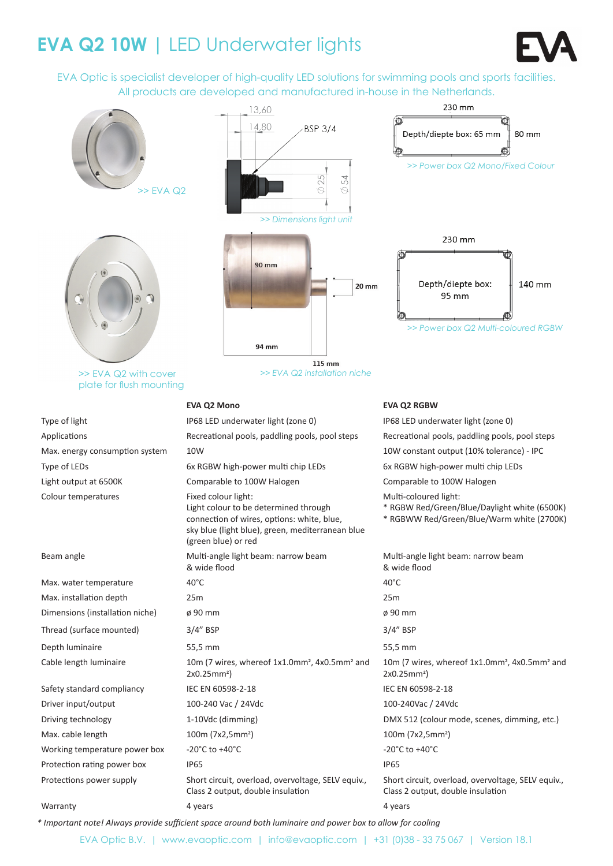# **EVA Q2 10W |** LED Underwater lights



EVA Optic is specialist developer of high-quality LED solutions for swimming pools and sports facilities. All products are developed and manufactured in-house in the Netherlands.



*\* Important note! Always provide sufficient space around both luminaire and power box to allow for cooling*